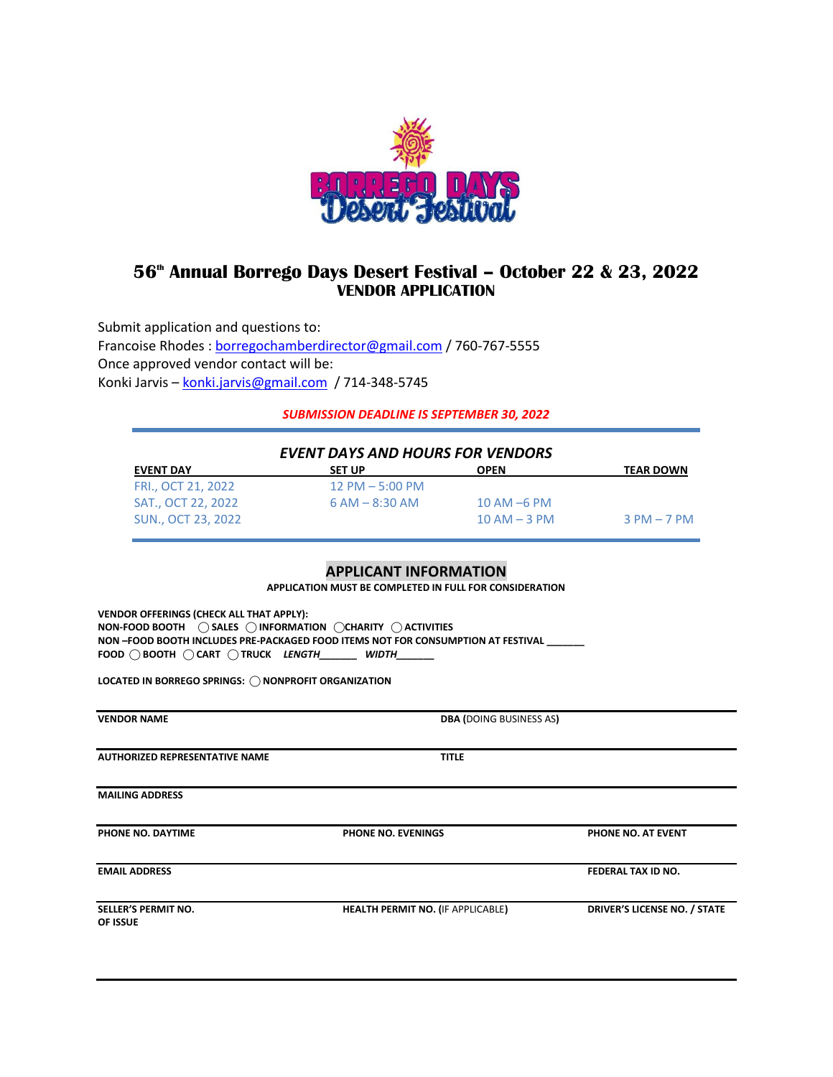

# **56th Annual Borrego Days Desert Festival – October 22 & 23, 2022 VENDOR APPLICATION**

Submit application and questions to: Francoise Rhodes : [borregochamberdirector@gmail.com](mailto:borregochamberdirector@gmail.com) / 760-767-5555 Once approved vendor contact will be: Konki Jarvis – [konki.jarvis@gmail.com](mailto:konki.jarvis@gmail.com) / 714-348-5745

*SUBMISSION DEADLINE IS SEPTEMBER 30, 2022*

| <b>EVENT DAYS AND HOURS FOR VENDORS</b> |                     |                  |                  |  |
|-----------------------------------------|---------------------|------------------|------------------|--|
| <b>EVENT DAY</b>                        | <b>SET UP</b>       | <b>OPEN</b>      | <b>TEAR DOWN</b> |  |
| FRI., OCT 21, 2022                      | $12$ PM $-$ 5:00 PM |                  |                  |  |
| SAT., OCT 22, 2022                      | $6 AM - 8:30 AM$    | $10$ AM $-6$ PM  |                  |  |
| SUN., OCT 23, 2022                      |                     | $10$ AM $-$ 3 PM | $3$ PM $-$ 7 PM  |  |

### **APPLICANT INFORMATION**

**APPLICATION MUST BE COMPLETED IN FULL FOR CONSIDERATION**

**VENDOR OFFERINGS (CHECK ALL THAT APPLY): NON-FOOD BOOTH ⃝ SALES ⃝ INFORMATION ⃝CHARITY ⃝ ACTIVITIES NON –FOOD BOOTH INCLUDES PRE-PACKAGED FOOD ITEMS NOT FOR CONSUMPTION AT FESTIVAL \_\_\_\_\_\_\_ FOOD ⃝ BOOTH ⃝ CART ⃝ TRUCK** *LENGTH\_\_\_\_\_\_\_ WIDTH\_\_\_\_\_\_\_*

LOCATED IN BORREGO SPRINGS:  $\bigcirc$  NONPROFIT ORGANIZATION

| <b>VENDOR NAME</b>                     | <b>DBA (DOING BUSINESS AS)</b>           |                              |
|----------------------------------------|------------------------------------------|------------------------------|
| <b>AUTHORIZED REPRESENTATIVE NAME</b>  | <b>TITLE</b>                             |                              |
| <b>MAILING ADDRESS</b>                 |                                          |                              |
| PHONE NO. DAYTIME                      | <b>PHONE NO. EVENINGS</b>                | PHONE NO. AT EVENT           |
| <b>EMAIL ADDRESS</b>                   |                                          | <b>FEDERAL TAX ID NO.</b>    |
| <b>SELLER'S PERMIT NO.</b><br>OF ISSUE | <b>HEALTH PERMIT NO. (IF APPLICABLE)</b> | DRIVER'S LICENSE NO. / STATE |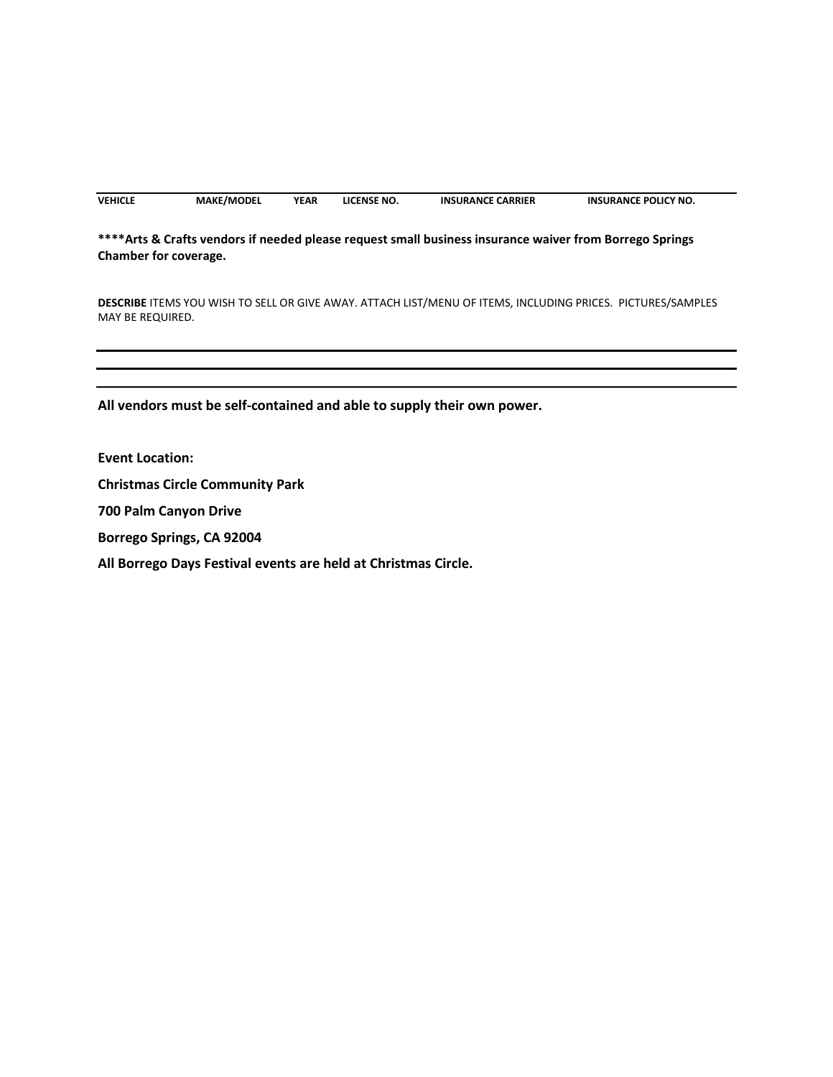| <b>VEHICLE</b> | <b>MAKE/MODEL</b> | YEAR | LICENSE NO. | <b>INSURANCE CARRIER</b> | <b>INSURANCE POLICY NO.</b> |
|----------------|-------------------|------|-------------|--------------------------|-----------------------------|
|----------------|-------------------|------|-------------|--------------------------|-----------------------------|

## **\*\*\*\*Arts & Crafts vendors if needed please request small business insurance waiver from Borrego Springs Chamber for coverage.**

**DESCRIBE** ITEMS YOU WISH TO SELL OR GIVE AWAY. ATTACH LIST/MENU OF ITEMS, INCLUDING PRICES. PICTURES/SAMPLES MAY BE REQUIRED.

**All vendors must be self-contained and able to supply their own power.** 

**Event Location:**

**Christmas Circle Community Park**

**700 Palm Canyon Drive**

**Borrego Springs, CA 92004**

**All Borrego Days Festival events are held at Christmas Circle.**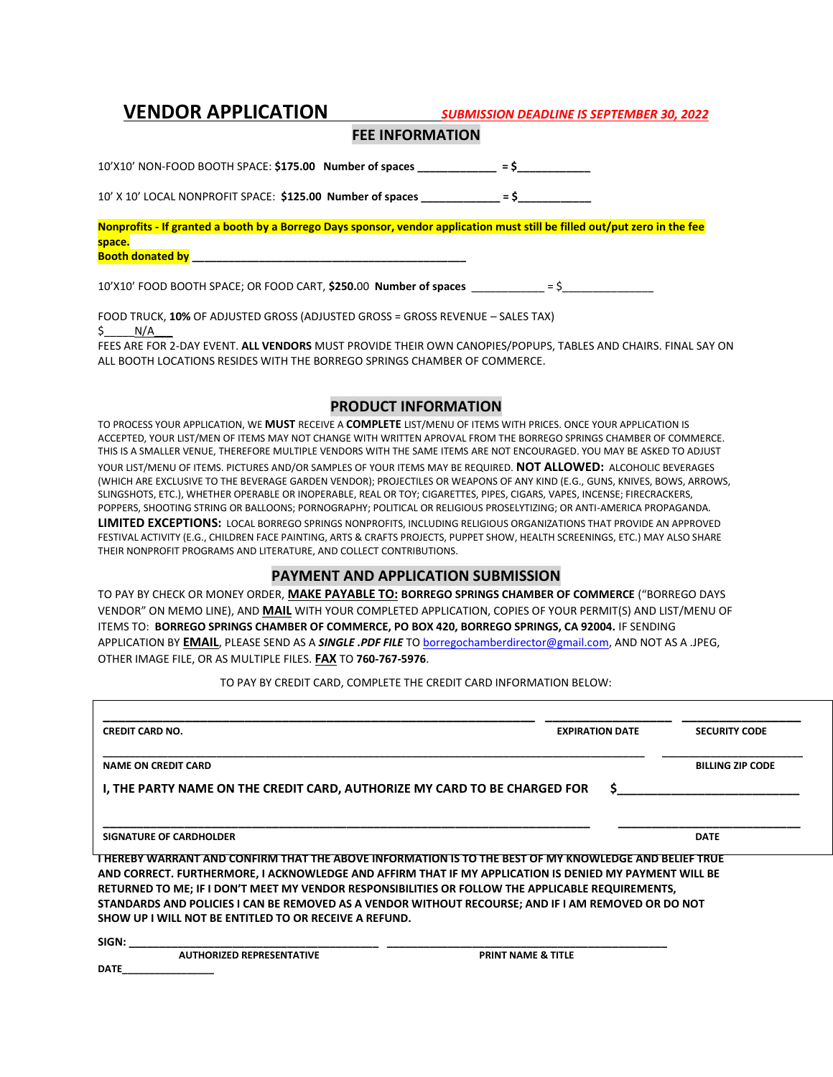**VENDOR APPLICATION** *SUBMISSION DEADLINE IS SEPTEMBER 30, 2022*

### **FEE INFORMATION**

10'X10' NON-FOOD BOOTH SPACE: **\$175.00 Number of spaces \_\_\_\_\_\_\_\_\_\_\_\_\_ = \$\_\_\_\_\_\_\_\_\_\_\_\_**

10' X 10' LOCAL NONPROFIT SPACE: **\$125.00 Number of spaces \_\_\_\_\_\_\_\_\_\_\_\_\_ = \$\_\_\_\_\_\_\_\_\_\_\_\_**

**Nonprofits - If granted a booth by a Borrego Days sponsor, vendor application must still be filled out/put zero in the fee space. Booth donated by \_\_\_\_\_\_\_\_\_\_\_\_\_\_\_\_\_\_\_\_\_\_\_\_\_\_\_\_\_\_\_\_\_\_\_\_\_\_\_\_\_\_\_\_\_** 

10'X10' FOOD BOOTH SPACE; OR FOOD CART, **\$250.**00 **Number of spaces** \_\_\_\_\_\_\_\_\_\_\_\_ = \$\_\_\_\_\_\_\_\_\_\_\_\_\_\_\_

FOOD TRUCK, **10%** OF ADJUSTED GROSS (ADJUSTED GROSS = GROSS REVENUE – SALES TAX)

 $\zeta$  N/A

FEES ARE FOR 2-DAY EVENT. **ALL VENDORS** MUST PROVIDE THEIR OWN CANOPIES/POPUPS, TABLES AND CHAIRS. FINAL SAY ON ALL BOOTH LOCATIONS RESIDES WITH THE BORREGO SPRINGS CHAMBER OF COMMERCE.

## **PRODUCT INFORMATION**

TO PROCESS YOUR APPLICATION, WE **MUST** RECEIVE A **COMPLETE** LIST/MENU OF ITEMS WITH PRICES. ONCE YOUR APPLICATION IS ACCEPTED, YOUR LIST/MEN OF ITEMS MAY NOT CHANGE WITH WRITTEN APROVAL FROM THE BORREGO SPRINGS CHAMBER OF COMMERCE. THIS IS A SMALLER VENUE, THEREFORE MULTIPLE VENDORS WITH THE SAME ITEMS ARE NOT ENCOURAGED. YOU MAY BE ASKED TO ADJUST YOUR LIST/MENU OF ITEMS. PICTURES AND/OR SAMPLES OF YOUR ITEMS MAY BE REQUIRED. **NOT ALLOWED:** ALCOHOLIC BEVERAGES (WHICH ARE EXCLUSIVE TO THE BEVERAGE GARDEN VENDOR); PROJECTILES OR WEAPONS OF ANY KIND (E.G., GUNS, KNIVES, BOWS, ARROWS, SLINGSHOTS, ETC.), WHETHER OPERABLE OR INOPERABLE, REAL OR TOY; CIGARETTES, PIPES, CIGARS, VAPES, INCENSE; FIRECRACKERS, POPPERS, SHOOTING STRING OR BALLOONS; PORNOGRAPHY; POLITICAL OR RELIGIOUS PROSELYTIZING; OR ANTI-AMERICA PROPAGANDA. **LIMITED EXCEPTIONS:** LOCAL BORREGO SPRINGS NONPROFITS, INCLUDING RELIGIOUS ORGANIZATIONS THAT PROVIDE AN APPROVED FESTIVAL ACTIVITY (E.G., CHILDREN FACE PAINTING, ARTS & CRAFTS PROJECTS, PUPPET SHOW, HEALTH SCREENINGS, ETC.) MAY ALSO SHARE THEIR NONPROFIT PROGRAMS AND LITERATURE, AND COLLECT CONTRIBUTIONS.

## **PAYMENT AND APPLICATION SUBMISSION**

TO PAY BY CHECK OR MONEY ORDER, **MAKE PAYABLE TO: BORREGO SPRINGS CHAMBER OF COMMERCE** ("BORREGO DAYS VENDOR" ON MEMO LINE), AND **MAIL** WITH YOUR COMPLETED APPLICATION, COPIES OF YOUR PERMIT(S) AND LIST/MENU OF ITEMS TO: **BORREGO SPRINGS CHAMBER OF COMMERCE, PO BOX 420, BORREGO SPRINGS, CA 92004.** IF SENDING APPLICATION BY **EMAIL**, PLEASE SEND AS A *SINGLE .PDF FILE* TO [borregochamberdirector@gmail.com,](mailto:borregochamberdirector@gmail.com) AND NOT AS A .JPEG, OTHER IMAGE FILE, OR AS MULTIPLE FILES. **FAX** TO **760-767-5976**.

TO PAY BY CREDIT CARD, COMPLETE THE CREDIT CARD INFORMATION BELOW:

| <b>CREDIT CARD NO.</b>                                                                                                                                                                                                 | <b>EXPIRATION DATE</b>        | <b>SECURITY CODE</b>    |
|------------------------------------------------------------------------------------------------------------------------------------------------------------------------------------------------------------------------|-------------------------------|-------------------------|
| <b>NAME ON CREDIT CARD</b>                                                                                                                                                                                             |                               | <b>BILLING ZIP CODE</b> |
| I, THE PARTY NAME ON THE CREDIT CARD, AUTHORIZE MY CARD TO BE CHARGED FOR                                                                                                                                              |                               |                         |
| <b>SIGNATURE OF CARDHOLDER</b>                                                                                                                                                                                         |                               | <b>DATE</b>             |
|                                                                                                                                                                                                                        |                               |                         |
| <u>THEREBY WARRANT AND CONFIRM THAT THE ABOVE INFORMATION IS TO THE BEST OF MY KNOWLEDGE AND BELIEF TRUE</u><br>AND CORRECT. FURTHERMORE, I ACKNOWLEDGE AND AFFIRM THAT IF MY APPLICATION IS DENIED MY PAYMENT WILL BE |                               |                         |
| RETURNED TO ME; IF I DON'T MEET MY VENDOR RESPONSIBILITIES OR FOLLOW THE APPLICABLE REQUIREMENTS,                                                                                                                      |                               |                         |
| STANDARDS AND POLICIES I CAN BE REMOVED AS A VENDOR WITHOUT RECOURSE; AND IF I AM REMOVED OR DO NOT                                                                                                                    |                               |                         |
| SHOW UP I WILL NOT BE ENTITLED TO OR RECEIVE A REFUND.                                                                                                                                                                 |                               |                         |
| SIGN:                                                                                                                                                                                                                  |                               |                         |
| <b>AUTHORIZED REPRESENTATIVE</b>                                                                                                                                                                                       | <b>PRINT NAME &amp; TITLE</b> |                         |
| <b>DATE</b>                                                                                                                                                                                                            |                               |                         |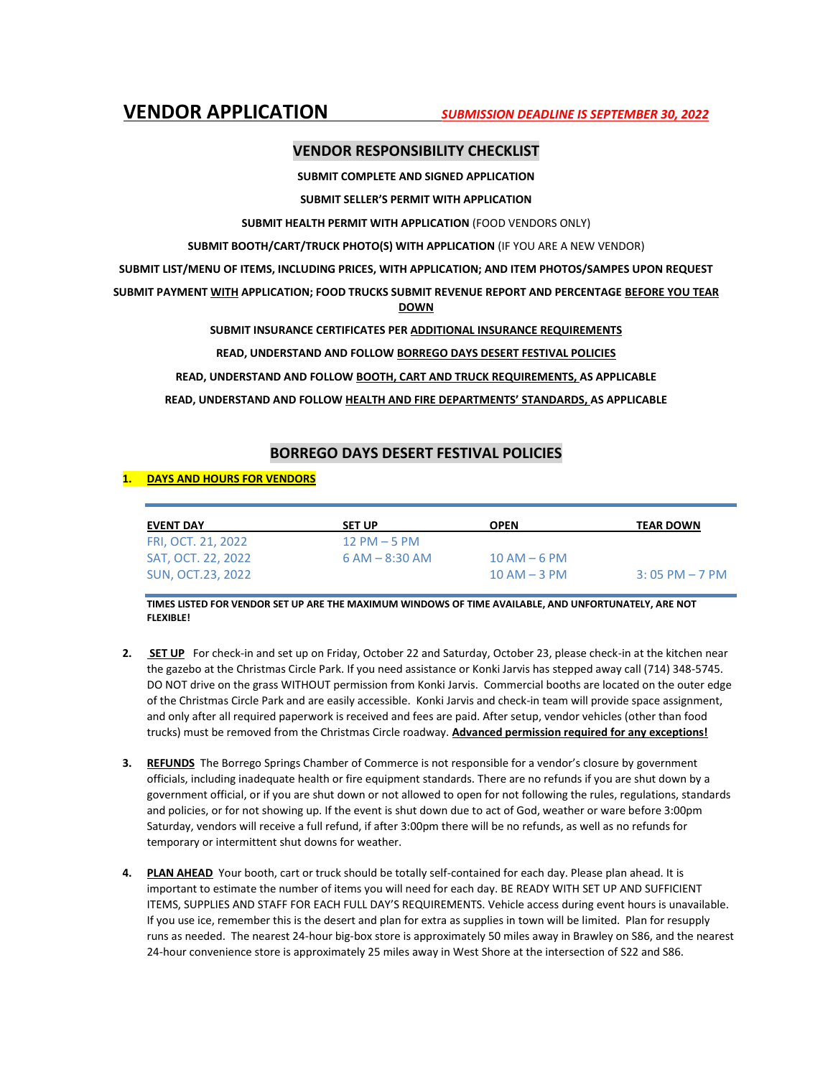## **VENDOR RESPONSIBILITY CHECKLIST**

**SUBMIT COMPLETE AND SIGNED APPLICATION**

**SUBMIT SELLER'S PERMIT WITH APPLICATION**

**SUBMIT HEALTH PERMIT WITH APPLICATION** (FOOD VENDORS ONLY)

**SUBMIT BOOTH/CART/TRUCK PHOTO(S) WITH APPLICATION** (IF YOU ARE A NEW VENDOR)

**SUBMIT LIST/MENU OF ITEMS, INCLUDING PRICES, WITH APPLICATION; AND ITEM PHOTOS/SAMPES UPON REQUEST**

**SUBMIT PAYMENT WITH APPLICATION; FOOD TRUCKS SUBMIT REVENUE REPORT AND PERCENTAGE BEFORE YOU TEAR DOWN**

**SUBMIT INSURANCE CERTIFICATES PER ADDITIONAL INSURANCE REQUIREMENTS**

**READ, UNDERSTAND AND FOLLOW BORREGO DAYS DESERT FESTIVAL POLICIES** 

**READ, UNDERSTAND AND FOLLOW BOOTH, CART AND TRUCK REQUIREMENTS, AS APPLICABLE**

**READ, UNDERSTAND AND FOLLOW HEALTH AND FIRE DEPARTMENTS' STANDARDS, AS APPLICABLE**

## **BORREGO DAYS DESERT FESTIVAL POLICIES**

#### **1. DAYS AND HOURS FOR VENDORS**

| <b>EVENT DAY</b>   | <b>SET UP</b>    | <b>OPEN</b>      | <b>TEAR DOWN</b>  |
|--------------------|------------------|------------------|-------------------|
| FRI, OCT. 21, 2022 | $12$ PM $-5$ PM  |                  |                   |
| SAT, OCT. 22, 2022 | $6 AM - 8:30 AM$ | $10$ AM $-6$ PM  |                   |
| SUN. OCT.23. 2022  |                  | $10$ AM $-$ 3 PM | $3:05$ PM $-7$ PM |

**TIMES LISTED FOR VENDOR SET UP ARE THE MAXIMUM WINDOWS OF TIME AVAILABLE, AND UNFORTUNATELY, ARE NOT FLEXIBLE!**

- **2. SET UP** For check-in and set up on Friday, October 22 and Saturday, October 23, please check-in at the kitchen near the gazebo at the Christmas Circle Park. If you need assistance or Konki Jarvis has stepped away call (714) 348-5745. DO NOT drive on the grass WITHOUT permission from Konki Jarvis. Commercial booths are located on the outer edge of the Christmas Circle Park and are easily accessible. Konki Jarvis and check-in team will provide space assignment, and only after all required paperwork is received and fees are paid. After setup, vendor vehicles (other than food trucks) must be removed from the Christmas Circle roadway. **Advanced permission required for any exceptions!**
- **3. REFUNDS** The Borrego Springs Chamber of Commerce is not responsible for a vendor's closure by government officials, including inadequate health or fire equipment standards. There are no refunds if you are shut down by a government official, or if you are shut down or not allowed to open for not following the rules, regulations, standards and policies, or for not showing up. If the event is shut down due to act of God, weather or ware before 3:00pm Saturday, vendors will receive a full refund, if after 3:00pm there will be no refunds, as well as no refunds for temporary or intermittent shut downs for weather.
- **4. PLAN AHEAD** Your booth, cart or truck should be totally self-contained for each day. Please plan ahead. It is important to estimate the number of items you will need for each day. BE READY WITH SET UP AND SUFFICIENT ITEMS, SUPPLIES AND STAFF FOR EACH FULL DAY'S REQUIREMENTS. Vehicle access during event hours is unavailable. If you use ice, remember this is the desert and plan for extra as supplies in town will be limited. Plan for resupply runs as needed. The nearest 24-hour big-box store is approximately 50 miles away in Brawley on S86, and the nearest 24-hour convenience store is approximately 25 miles away in West Shore at the intersection of S22 and S86.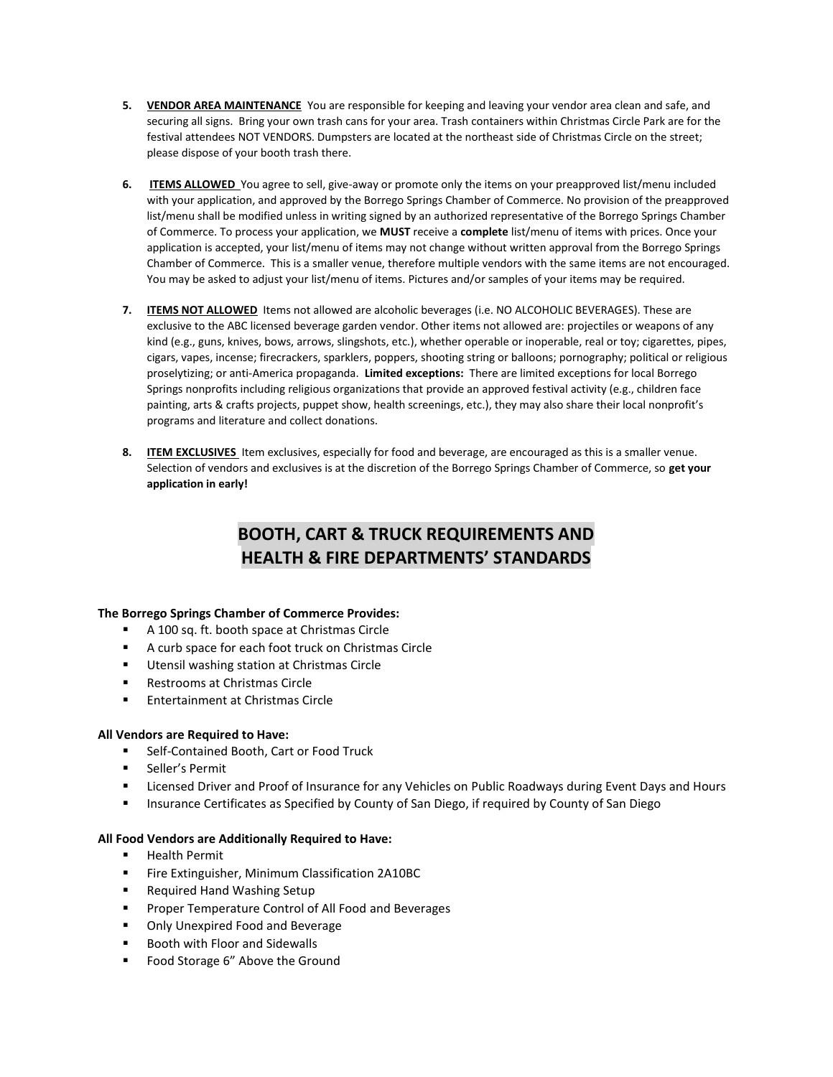- **5. VENDOR AREA MAINTENANCE** You are responsible for keeping and leaving your vendor area clean and safe, and securing all signs. Bring your own trash cans for your area. Trash containers within Christmas Circle Park are for the festival attendees NOT VENDORS. Dumpsters are located at the northeast side of Christmas Circle on the street; please dispose of your booth trash there.
- **6. ITEMS ALLOWED** You agree to sell, give-away or promote only the items on your preapproved list/menu included with your application, and approved by the Borrego Springs Chamber of Commerce. No provision of the preapproved list/menu shall be modified unless in writing signed by an authorized representative of the Borrego Springs Chamber of Commerce. To process your application, we **MUST** receive a **complete** list/menu of items with prices. Once your application is accepted, your list/menu of items may not change without written approval from the Borrego Springs Chamber of Commerce. This is a smaller venue, therefore multiple vendors with the same items are not encouraged. You may be asked to adjust your list/menu of items. Pictures and/or samples of your items may be required.
- **7. ITEMS NOT ALLOWED** Items not allowed are alcoholic beverages (i.e. NO ALCOHOLIC BEVERAGES). These are exclusive to the ABC licensed beverage garden vendor. Other items not allowed are: projectiles or weapons of any kind (e.g., guns, knives, bows, arrows, slingshots, etc.), whether operable or inoperable, real or toy; cigarettes, pipes, cigars, vapes, incense; firecrackers, sparklers, poppers, shooting string or balloons; pornography; political or religious proselytizing; or anti-America propaganda. **Limited exceptions:** There are limited exceptions for local Borrego Springs nonprofits including religious organizations that provide an approved festival activity (e.g., children face painting, arts & crafts projects, puppet show, health screenings, etc.), they may also share their local nonprofit's programs and literature and collect donations.
- **8. ITEM EXCLUSIVES** Item exclusives, especially for food and beverage, are encouraged as this is a smaller venue. Selection of vendors and exclusives is at the discretion of the Borrego Springs Chamber of Commerce, so **get your application in early!**

# **BOOTH, CART & TRUCK REQUIREMENTS AND HEALTH & FIRE DEPARTMENTS' STANDARDS**

### **The Borrego Springs Chamber of Commerce Provides:**

- A 100 sq. ft. booth space at Christmas Circle
- A curb space for each foot truck on Christmas Circle
- **Utensil washing station at Christmas Circle**
- Restrooms at Christmas Circle
- **Entertainment at Christmas Circle**

### **All Vendors are Required to Have:**

- **Self-Contained Booth, Cart or Food Truck**
- Seller's Permit
- Licensed Driver and Proof of Insurance for any Vehicles on Public Roadways during Event Days and Hours
- **Insurance Certificates as Specified by County of San Diego, if required by County of San Diego**

### **All Food Vendors are Additionally Required to Have:**

- Health Permit
- **Fire Extinguisher, Minimum Classification 2A10BC**
- Required Hand Washing Setup
- **Proper Temperature Control of All Food and Beverages**
- **Only Unexpired Food and Beverage**
- Booth with Floor and Sidewalls
- **Food Storage 6" Above the Ground**